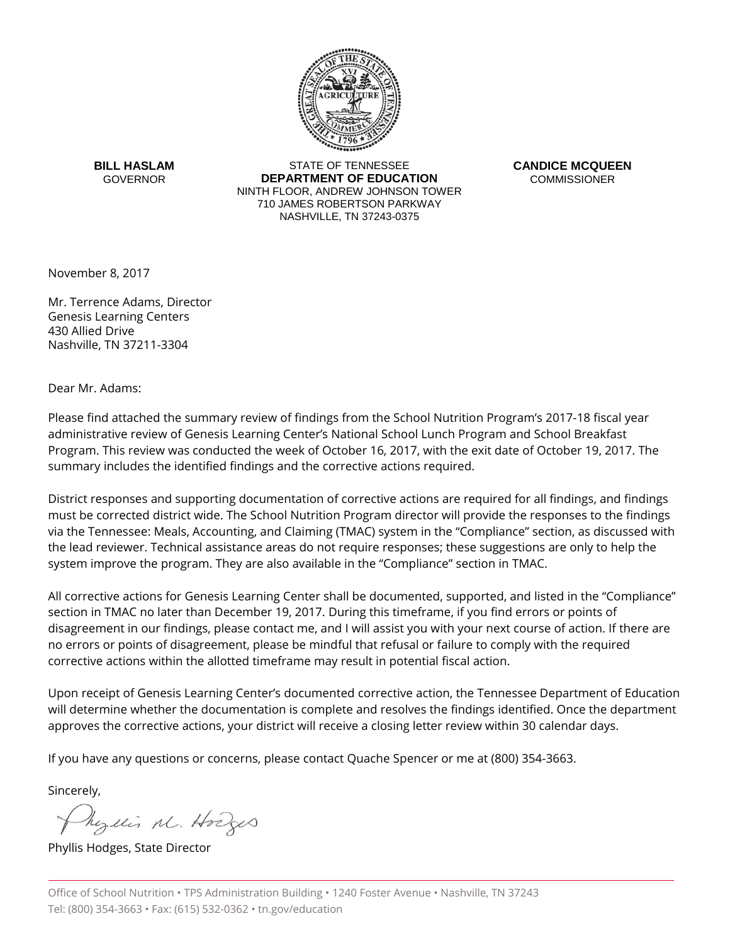

**BILL HASLAM GOVERNOR** 

STATE OF TENNESSEE **DEPARTMENT OF EDUCATION** NINTH FLOOR, ANDREW JOHNSON TOWER 710 JAMES ROBERTSON PARKWAY NASHVILLE, TN 37243-0375

**CANDICE MCQUEEN COMMISSIONER** 

November 8, 2017

Mr. Terrence Adams, Director Genesis Learning Centers 430 Allied Drive Nashville, TN 37211-3304

Dear Mr. Adams:

Please find attached the summary review of findings from the School Nutrition Program's 2017-18 fiscal year administrative review of Genesis Learning Center's National School Lunch Program and School Breakfast Program. This review was conducted the week of October 16, 2017, with the exit date of October 19, 2017. The summary includes the identified findings and the corrective actions required.

District responses and supporting documentation of corrective actions are required for all findings, and findings must be corrected district wide. The School Nutrition Program director will provide the responses to the findings via the Tennessee: Meals, Accounting, and Claiming (TMAC) system in the "Compliance" section, as discussed with the lead reviewer. Technical assistance areas do not require responses; these suggestions are only to help the system improve the program. They are also available in the "Compliance" section in TMAC.

All corrective actions for Genesis Learning Center shall be documented, supported, and listed in the "Compliance" section in TMAC no later than December 19, 2017. During this timeframe, if you find errors or points of disagreement in our findings, please contact me, and I will assist you with your next course of action. If there are no errors or points of disagreement, please be mindful that refusal or failure to comply with the required corrective actions within the allotted timeframe may result in potential fiscal action.

Upon receipt of Genesis Learning Center's documented corrective action, the Tennessee Department of Education will determine whether the documentation is complete and resolves the findings identified. Once the department approves the corrective actions, your district will receive a closing letter review within 30 calendar days.

If you have any questions or concerns, please contact Quache Spencer or me at (800) 354-3663.

Sincerely,

Myllis M. Hodges

Phyllis Hodges, State Director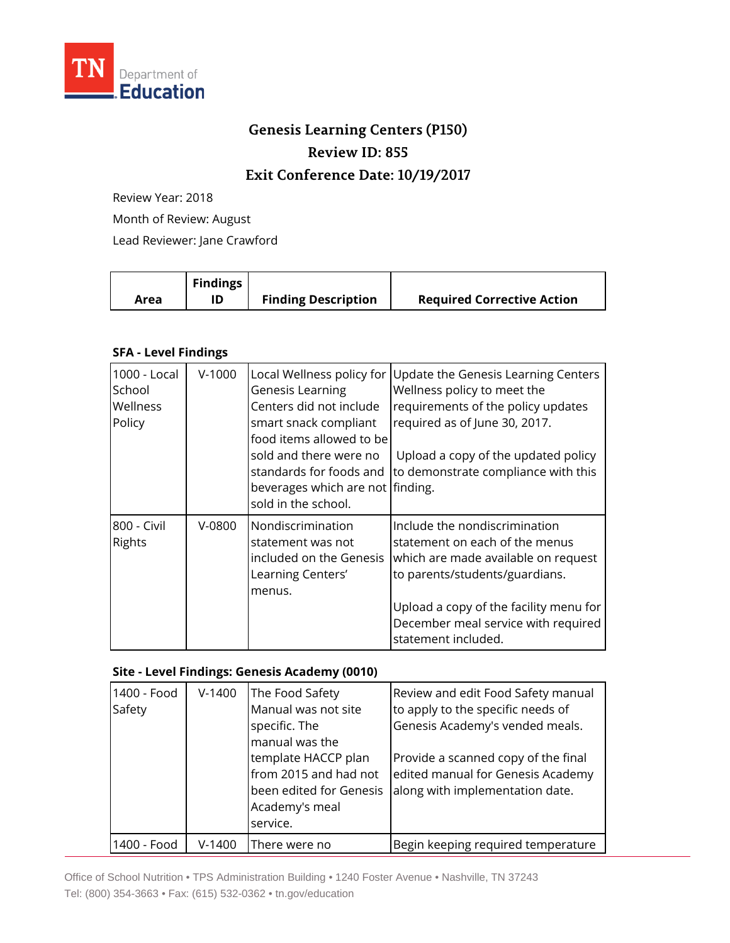

## **Genesis Learning Centers (P150) Review ID: 855**

## **Exit Conference Date: 10/19/2017**

Review Year: 2018

Month of Review: August

Lead Reviewer: Jane Crawford

|      | <b>Findings</b> |                            |                                   |
|------|-----------------|----------------------------|-----------------------------------|
| Area |                 | <b>Finding Description</b> | <b>Required Corrective Action</b> |

## **SFA - Level Findings**

| 1000 - Local<br>School<br>Wellness<br>Policy | $V-1000$ | Local Wellness policy for<br><b>Genesis Learning</b><br>Centers did not include<br>smart snack compliant<br>food items allowed to be<br>sold and there were no<br>standards for foods and<br>beverages which are not finding.<br>sold in the school. | Update the Genesis Learning Centers<br>Wellness policy to meet the<br>requirements of the policy updates<br>required as of June 30, 2017.<br>Upload a copy of the updated policy<br>to demonstrate compliance with this                          |
|----------------------------------------------|----------|------------------------------------------------------------------------------------------------------------------------------------------------------------------------------------------------------------------------------------------------------|--------------------------------------------------------------------------------------------------------------------------------------------------------------------------------------------------------------------------------------------------|
| 800 - Civil<br>Rights                        | $V-0800$ | Nondiscrimination<br>statement was not<br>included on the Genesis<br>Learning Centers'<br>menus.                                                                                                                                                     | Include the nondiscrimination<br>statement on each of the menus<br>which are made available on request<br>to parents/students/guardians.<br>Upload a copy of the facility menu for<br>December meal service with required<br>statement included. |

## **Site - Level Findings: Genesis Academy (0010)**

| 1400 - Food<br>Safety | $V-1400$ | The Food Safety<br>Manual was not site<br>specific. The<br>manual was the<br>template HACCP plan<br>from 2015 and had not<br>been edited for Genesis<br>Academy's meal<br>service. | Review and edit Food Safety manual<br>to apply to the specific needs of<br>Genesis Academy's vended meals.<br>Provide a scanned copy of the final<br>edited manual for Genesis Academy<br>along with implementation date. |
|-----------------------|----------|------------------------------------------------------------------------------------------------------------------------------------------------------------------------------------|---------------------------------------------------------------------------------------------------------------------------------------------------------------------------------------------------------------------------|
| 1400 - Food           | $V-1400$ | There were no                                                                                                                                                                      | Begin keeping required temperature                                                                                                                                                                                        |